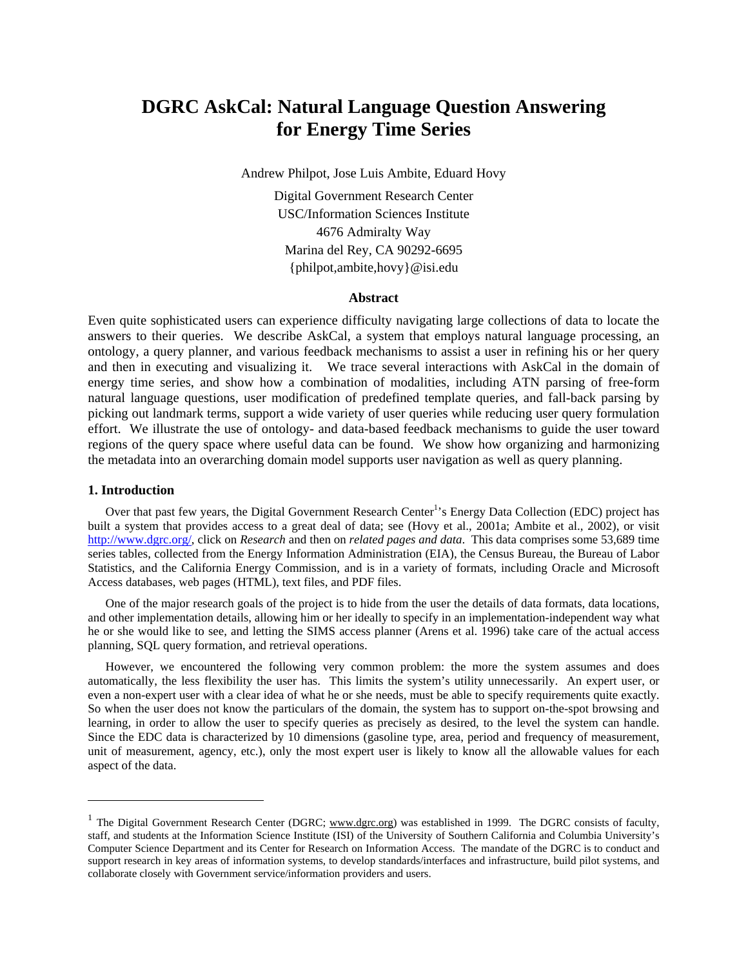# **DGRC AskCal: Natural Language Question Answering for Energy Time Series**

Andrew Philpot, Jose Luis Ambite, Eduard Hovy

Digital Government Research Center USC/Information Sciences Institute 4676 Admiralty Way Marina del Rey, CA 90292-6695 {philpot,ambite,hovy}@isi.edu

## **Abstract**

Even quite sophisticated users can experience difficulty navigating large collections of data to locate the answers to their queries. We describe AskCal, a system that employs natural language processing, an ontology, a query planner, and various feedback mechanisms to assist a user in refining his or her query and then in executing and visualizing it. We trace several interactions with AskCal in the domain of energy time series, and show how a combination of modalities, including ATN parsing of free-form natural language questions, user modification of predefined template queries, and fall-back parsing by picking out landmark terms, support a wide variety of user queries while reducing user query formulation effort. We illustrate the use of ontology- and data-based feedback mechanisms to guide the user toward regions of the query space where useful data can be found. We show how organizing and harmonizing the metadata into an overarching domain model supports user navigation as well as query planning.

## **1. Introduction**

l

Over that past few years, the Digital Government Research Center<sup>1</sup>'s Energy Data Collection (EDC) project has built a system that provides access to a great deal of data; see (Hovy et al., 2001a; Ambite et al., 2002), or visit [http://www.dgrc.org/,](http://www.dgrc.org/) click on *Research* and then on *related pages and data*. This data comprises some 53,689 time series tables, collected from the Energy Information Administration (EIA), the Census Bureau, the Bureau of Labor Statistics, and the California Energy Commission, and is in a variety of formats, including Oracle and Microsoft Access databases, web pages (HTML), text files, and PDF files.

One of the major research goals of the project is to hide from the user the details of data formats, data locations, and other implementation details, allowing him or her ideally to specify in an implementation-independent way what he or she would like to see, and letting the SIMS access planner (Arens et al. 1996) take care of the actual access planning, SQL query formation, and retrieval operations.

However, we encountered the following very common problem: the more the system assumes and does automatically, the less flexibility the user has. This limits the system's utility unnecessarily. An expert user, or even a non-expert user with a clear idea of what he or she needs, must be able to specify requirements quite exactly. So when the user does not know the particulars of the domain, the system has to support on-the-spot browsing and learning, in order to allow the user to specify queries as precisely as desired, to the level the system can handle. Since the EDC data is characterized by 10 dimensions (gasoline type, area, period and frequency of measurement, unit of measurement, agency, etc.), only the most expert user is likely to know all the allowable values for each aspect of the data.

<span id="page-0-0"></span><sup>&</sup>lt;sup>1</sup> The Digital Government Research Center (DGRC; www.dgrc.org) was established in 1999. The DGRC consists of faculty, staff, and students at the Information Science Institute (ISI) of the University of Southern California and Columbia University's Computer Science Department and its Center for Research on Information Access. The mandate of the DGRC is to conduct and support research in key areas of information systems, to develop standards/interfaces and infrastructure, build pilot systems, and collaborate closely with Government service/information providers and users.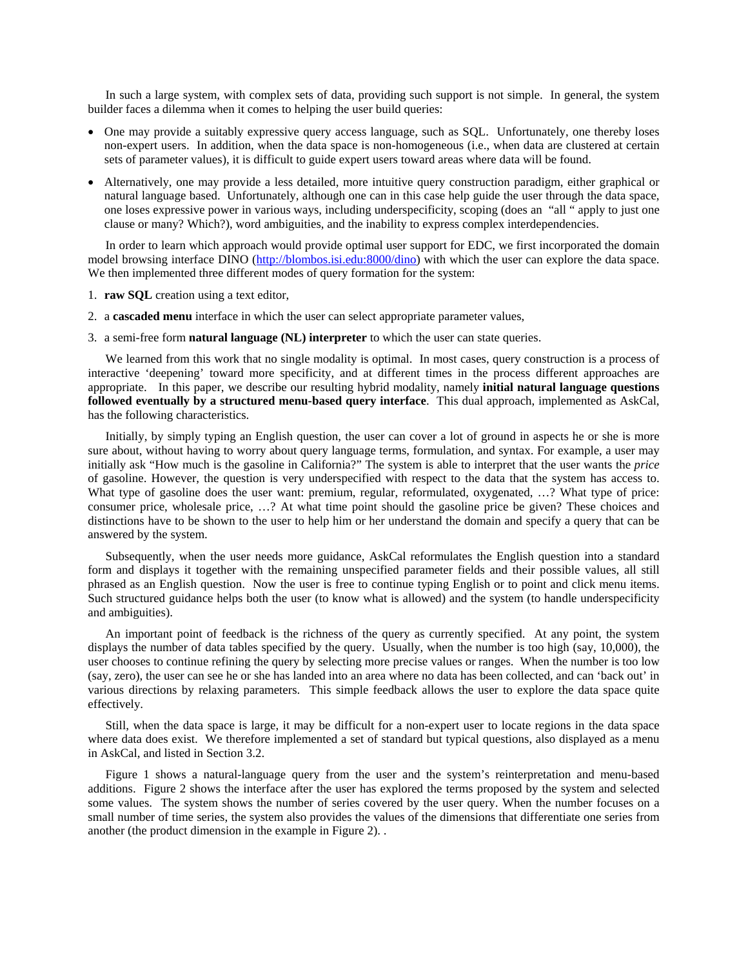In such a large system, with complex sets of data, providing such support is not simple. In general, the system builder faces a dilemma when it comes to helping the user build queries:

- One may provide a suitably expressive query access language, such as SQL. Unfortunately, one thereby loses non-expert users. In addition, when the data space is non-homogeneous (i.e., when data are clustered at certain sets of parameter values), it is difficult to guide expert users toward areas where data will be found.
- Alternatively, one may provide a less detailed, more intuitive query construction paradigm, either graphical or natural language based. Unfortunately, although one can in this case help guide the user through the data space, one loses expressive power in various ways, including underspecificity, scoping (does an "all " apply to just one clause or many? Which?), word ambiguities, and the inability to express complex interdependencies.

In order to learn which approach would provide optimal user support for EDC, we first incorporated the domain model browsing interface DINO ([http://blombos.isi.edu:8000/dino\)](http://edc.isi.edu:8000/dino) with which the user can explore the data space. We then implemented three different modes of query formation for the system:

- 1. **raw SQL** creation using a text editor,
- 2. a **cascaded menu** interface in which the user can select appropriate parameter values,
- 3. a semi-free form **natural language (NL) interpreter** to which the user can state queries.

We learned from this work that no single modality is optimal. In most cases, query construction is a process of interactive 'deepening' toward more specificity, and at different times in the process different approaches are appropriate. In this paper, we describe our resulting hybrid modality, namely **initial natural language questions followed eventually by a structured menu-based query interface**. This dual approach, implemented as AskCal, has the following characteristics.

Initially, by simply typing an English question, the user can cover a lot of ground in aspects he or she is more sure about, without having to worry about query language terms, formulation, and syntax. For example, a user may initially ask "How much is the gasoline in California?" The system is able to interpret that the user wants the *price* of gasoline. However, the question is very underspecified with respect to the data that the system has access to. What type of gasoline does the user want: premium, regular, reformulated, oxygenated, ...? What type of price: consumer price, wholesale price, …? At what time point should the gasoline price be given? These choices and distinctions have to be shown to the user to help him or her understand the domain and specify a query that can be answered by the system.

Subsequently, when the user needs more guidance, AskCal reformulates the English question into a standard form and displays it together with the remaining unspecified parameter fields and their possible values, all still phrased as an English question. Now the user is free to continue typing English or to point and click menu items. Such structured guidance helps both the user (to know what is allowed) and the system (to handle underspecificity and ambiguities).

An important point of feedback is the richness of the query as currently specified. At any point, the system displays the number of data tables specified by the query. Usually, when the number is too high (say, 10,000), the user chooses to continue refining the query by selecting more precise values or ranges. When the number is too low (say, zero), the user can see he or she has landed into an area where no data has been collected, and can 'back out' in various directions by relaxing parameters. This simple feedback allows the user to explore the data space quite effectively.

Still, when the data space is large, it may be difficult for a non-expert user to locate regions in the data space where data does exist. We therefore implemented a set of standard but typical questions, also displayed as a menu in AskCal, and listed in Section 3.2.

Figure 1 shows a natural-language query from the user and the system's reinterpretation and menu-based additions. Figure 2 shows the interface after the user has explored the terms proposed by the system and selected some values. The system shows the number of series covered by the user query. When the number focuses on a small number of time series, the system also provides the values of the dimensions that differentiate one series from another (the product dimension in the example in Figure 2). .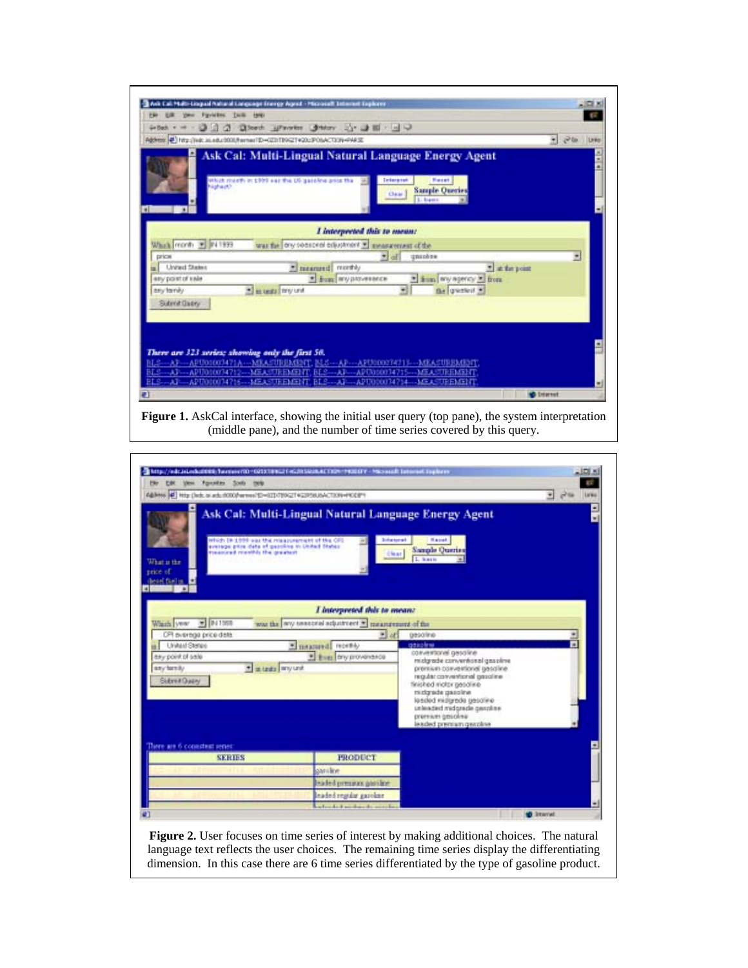

**Figure 1.** AskCal interface, showing the initial user query (top pane), the system interpretation (middle pane), and the number of time series covered by this query.



**Figure 2.** User focuses on time series of interest by making additional choices. The natural language text reflects the user choices. The remaining time series display the differentiating dimension. In this case there are 6 time series differentiated by the type of gasoline product.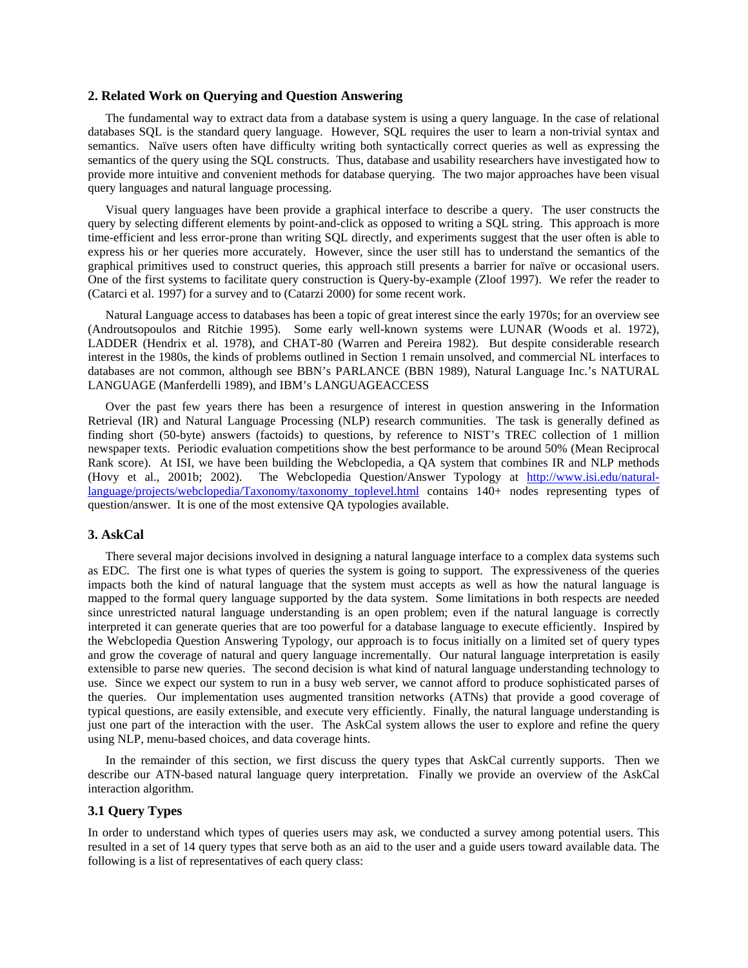## **2. Related Work on Querying and Question Answering**

The fundamental way to extract data from a database system is using a query language. In the case of relational databases SQL is the standard query language. However, SQL requires the user to learn a non-trivial syntax and semantics. Naïve users often have difficulty writing both syntactically correct queries as well as expressing the semantics of the query using the SQL constructs. Thus, database and usability researchers have investigated how to provide more intuitive and convenient methods for database querying. The two major approaches have been visual query languages and natural language processing.

Visual query languages have been provide a graphical interface to describe a query. The user constructs the query by selecting different elements by point-and-click as opposed to writing a SQL string. This approach is more time-efficient and less error-prone than writing SQL directly, and experiments suggest that the user often is able to express his or her queries more accurately. However, since the user still has to understand the semantics of the graphical primitives used to construct queries, this approach still presents a barrier for naïve or occasional users. One of the first systems to facilitate query construction is Query-by-example (Zloof 1997). We refer the reader to (Catarci et al. 1997) for a survey and to (Catarzi 2000) for some recent work.

Natural Language access to databases has been a topic of great interest since the early 1970s; for an overview see (Androutsopoulos and Ritchie 1995). Some early well-known systems were LUNAR (Woods et al. 1972), LADDER (Hendrix et al. 1978), and CHAT-80 (Warren and Pereira 1982). But despite considerable research interest in the 1980s, the kinds of problems outlined in Section 1 remain unsolved, and commercial NL interfaces to databases are not common, although see BBN's PARLANCE (BBN 1989), Natural Language Inc.'s NATURAL LANGUAGE (Manferdelli 1989), and IBM's LANGUAGEACCESS

Over the past few years there has been a resurgence of interest in question answering in the Information Retrieval (IR) and Natural Language Processing (NLP) research communities. The task is generally defined as finding short (50-byte) answers (factoids) to questions, by reference to NIST's TREC collection of 1 million newspaper texts. Periodic evaluation competitions show the best performance to be around 50% (Mean Reciprocal Rank score). At ISI, we have been building the Webclopedia, a QA system that combines IR and NLP methods (Hovy et al., 2001b; 2002). The Webclopedia Question/Answer Typology at [http://www.isi.edu/natural](http://www.isi.edu/natural-language/projects/webclopedia/Taxonomy/taxonomy_toplevel.html)[language/projects/webclopedia/Taxonomy/taxonomy\\_toplevel.html](http://www.isi.edu/natural-language/projects/webclopedia/Taxonomy/taxonomy_toplevel.html) contains 140+ nodes representing types of question/answer. It is one of the most extensive QA typologies available.

## **3. AskCal**

There several major decisions involved in designing a natural language interface to a complex data systems such as EDC. The first one is what types of queries the system is going to support. The expressiveness of the queries impacts both the kind of natural language that the system must accepts as well as how the natural language is mapped to the formal query language supported by the data system. Some limitations in both respects are needed since unrestricted natural language understanding is an open problem; even if the natural language is correctly interpreted it can generate queries that are too powerful for a database language to execute efficiently. Inspired by the Webclopedia Question Answering Typology, our approach is to focus initially on a limited set of query types and grow the coverage of natural and query language incrementally. Our natural language interpretation is easily extensible to parse new queries. The second decision is what kind of natural language understanding technology to use. Since we expect our system to run in a busy web server, we cannot afford to produce sophisticated parses of the queries. Our implementation uses augmented transition networks (ATNs) that provide a good coverage of typical questions, are easily extensible, and execute very efficiently. Finally, the natural language understanding is just one part of the interaction with the user. The AskCal system allows the user to explore and refine the query using NLP, menu-based choices, and data coverage hints.

In the remainder of this section, we first discuss the query types that AskCal currently supports. Then we describe our ATN-based natural language query interpretation. Finally we provide an overview of the AskCal interaction algorithm.

# **3.1 Query Types**

In order to understand which types of queries users may ask, we conducted a survey among potential users. This resulted in a set of 14 query types that serve both as an aid to the user and a guide users toward available data. The following is a list of representatives of each query class: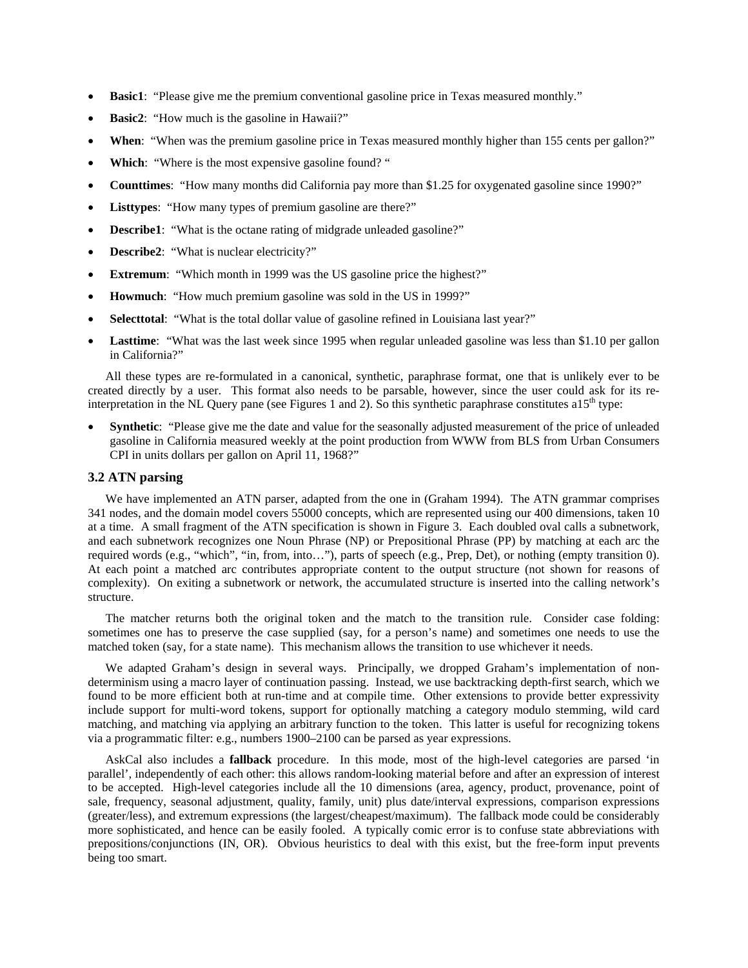- **Basic1**: "Please give me the premium conventional gasoline price in Texas measured monthly."
- **Basic2:** "How much is the gasoline in Hawaii?"
- **When**: "When was the premium gasoline price in Texas measured monthly higher than 155 cents per gallon?"
- Which: "Where is the most expensive gasoline found?"
- **Counttimes**: "How many months did California pay more than \$1.25 for oxygenated gasoline since 1990?"
- Listtypes: "How many types of premium gasoline are there?"
- **Describe1**: "What is the octane rating of midgrade unleaded gasoline?"
- **Describe2:** "What is nuclear electricity?"
- **Extremum:** "Which month in 1999 was the US gasoline price the highest?"
- **Howmuch**: "How much premium gasoline was sold in the US in 1999?"
- **Selecttotal:** "What is the total dollar value of gasoline refined in Louisiana last year?"
- Lasttime: "What was the last week since 1995 when regular unleaded gasoline was less than \$1.10 per gallon in California?"

All these types are re-formulated in a canonical, synthetic, paraphrase format, one that is unlikely ever to be created directly by a user. This format also needs to be parsable, however, since the user could ask for its reinterpretation in the NL Query pane (see Figures 1 and 2). So this synthetic paraphrase constitutes a15<sup>th</sup> type:

**Synthetic**: "Please give me the date and value for the seasonally adjusted measurement of the price of unleaded gasoline in California measured weekly at the point production from WWW from BLS from Urban Consumers CPI in units dollars per gallon on April 11, 1968?"

# **3.2 ATN parsing**

We have implemented an ATN parser, adapted from the one in (Graham 1994). The ATN grammar comprises 341 nodes, and the domain model covers 55000 concepts, which are represented using our 400 dimensions, taken 10 at a time. A small fragment of the ATN specification is shown in Figure 3. Each doubled oval calls a subnetwork, and each subnetwork recognizes one Noun Phrase (NP) or Prepositional Phrase (PP) by matching at each arc the required words (e.g., "which", "in, from, into…"), parts of speech (e.g., Prep, Det), or nothing (empty transition 0). At each point a matched arc contributes appropriate content to the output structure (not shown for reasons of complexity). On exiting a subnetwork or network, the accumulated structure is inserted into the calling network's structure.

The matcher returns both the original token and the match to the transition rule. Consider case folding: sometimes one has to preserve the case supplied (say, for a person's name) and sometimes one needs to use the matched token (say, for a state name). This mechanism allows the transition to use whichever it needs.

We adapted Graham's design in several ways. Principally, we dropped Graham's implementation of nondeterminism using a macro layer of continuation passing. Instead, we use backtracking depth-first search, which we found to be more efficient both at run-time and at compile time. Other extensions to provide better expressivity include support for multi-word tokens, support for optionally matching a category modulo stemming, wild card matching, and matching via applying an arbitrary function to the token. This latter is useful for recognizing tokens via a programmatic filter: e.g., numbers 1900–2100 can be parsed as year expressions.

AskCal also includes a **fallback** procedure. In this mode, most of the high-level categories are parsed 'in parallel', independently of each other: this allows random-looking material before and after an expression of interest to be accepted. High-level categories include all the 10 dimensions (area, agency, product, provenance, point of sale, frequency, seasonal adjustment, quality, family, unit) plus date/interval expressions, comparison expressions (greater/less), and extremum expressions (the largest/cheapest/maximum). The fallback mode could be considerably more sophisticated, and hence can be easily fooled. A typically comic error is to confuse state abbreviations with prepositions/conjunctions (IN, OR). Obvious heuristics to deal with this exist, but the free-form input prevents being too smart.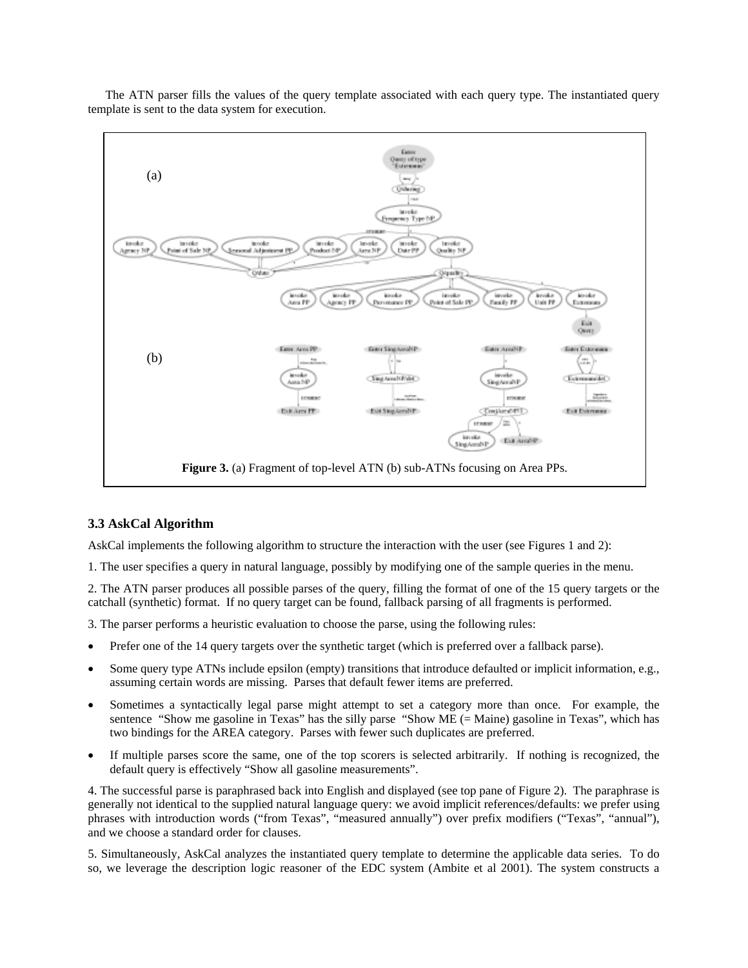

The ATN parser fills the values of the query template associated with each query type. The instantiated query template is sent to the data system for execution.

# **3.3 AskCal Algorithm**

AskCal implements the following algorithm to structure the interaction with the user (see Figures 1 and 2):

1. The user specifies a query in natural language, possibly by modifying one of the sample queries in the menu.

2. The ATN parser produces all possible parses of the query, filling the format of one of the 15 query targets or the catchall (synthetic) format. If no query target can be found, fallback parsing of all fragments is performed.

3. The parser performs a heuristic evaluation to choose the parse, using the following rules:

- Prefer one of the 14 query targets over the synthetic target (which is preferred over a fallback parse).
- Some query type ATNs include epsilon (empty) transitions that introduce defaulted or implicit information, e.g., assuming certain words are missing. Parses that default fewer items are preferred.
- Sometimes a syntactically legal parse might attempt to set a category more than once. For example, the sentence "Show me gasoline in Texas" has the silly parse "Show ME (= Maine) gasoline in Texas", which has two bindings for the AREA category. Parses with fewer such duplicates are preferred.
- If multiple parses score the same, one of the top scorers is selected arbitrarily. If nothing is recognized, the default query is effectively "Show all gasoline measurements".

4. The successful parse is paraphrased back into English and displayed (see top pane of Figure 2). The paraphrase is generally not identical to the supplied natural language query: we avoid implicit references/defaults: we prefer using phrases with introduction words ("from Texas", "measured annually") over prefix modifiers ("Texas", "annual"), and we choose a standard order for clauses.

5. Simultaneously, AskCal analyzes the instantiated query template to determine the applicable data series. To do so, we leverage the description logic reasoner of the EDC system (Ambite et al 2001). The system constructs a